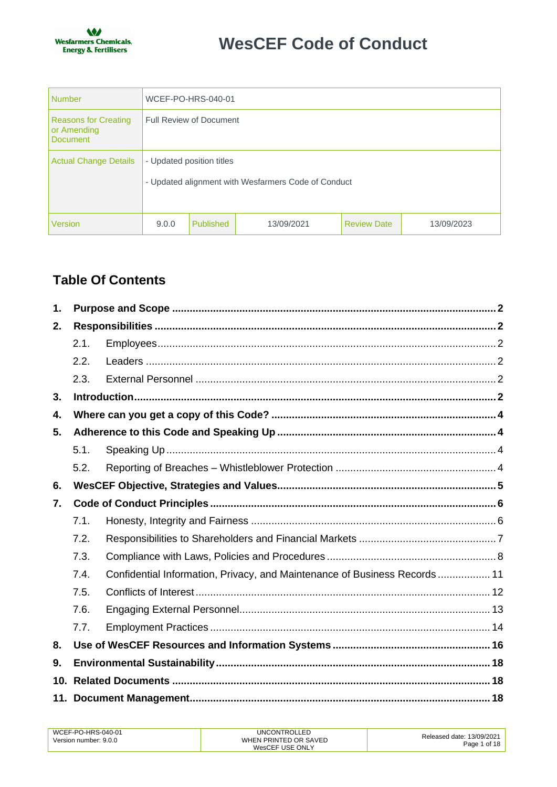

| Number                                          | WCEF-PO-HRS-040-01                                                               |           |            |                    |            |
|-------------------------------------------------|----------------------------------------------------------------------------------|-----------|------------|--------------------|------------|
| Reasons for Creating<br>or Amending<br>Document | <b>Full Review of Document</b>                                                   |           |            |                    |            |
| Actual Change Details                           | - Updated position titles<br>- Updated alignment with Wesfarmers Code of Conduct |           |            |                    |            |
| Version                                         | 9.0.0                                                                            | Published | 13/09/2021 | <b>Review Date</b> | 13/09/2023 |

# **Table Of Contents**

| $\mathbf 1$ . |      |                                                                           |  |
|---------------|------|---------------------------------------------------------------------------|--|
| 2.            |      |                                                                           |  |
|               | 2.1. |                                                                           |  |
|               | 2.2. |                                                                           |  |
|               | 2.3. |                                                                           |  |
| 3.            |      |                                                                           |  |
| 4.            |      |                                                                           |  |
| 5.            |      |                                                                           |  |
|               | 5.1. |                                                                           |  |
|               | 5.2. |                                                                           |  |
| 6.            |      |                                                                           |  |
| 7.            |      |                                                                           |  |
|               | 7.1. |                                                                           |  |
|               | 7.2. |                                                                           |  |
|               | 7.3. |                                                                           |  |
|               | 7.4. | Confidential Information, Privacy, and Maintenance of Business Records 11 |  |
|               | 7.5. |                                                                           |  |
|               | 7.6. |                                                                           |  |
|               | 7.7. |                                                                           |  |
| 8.            |      |                                                                           |  |
| 9.            |      |                                                                           |  |
| 10.           |      |                                                                           |  |
|               |      |                                                                           |  |

| WCEF-PO-HRS-040-01    | <b>UNCONTROLLED</b>   | Released date: 13/09/2021 |
|-----------------------|-----------------------|---------------------------|
| Version number: 9.0.0 | WHEN PRINTED OR SAVED | Page 1 of 18              |
|                       | WesCEF USE ONLY       |                           |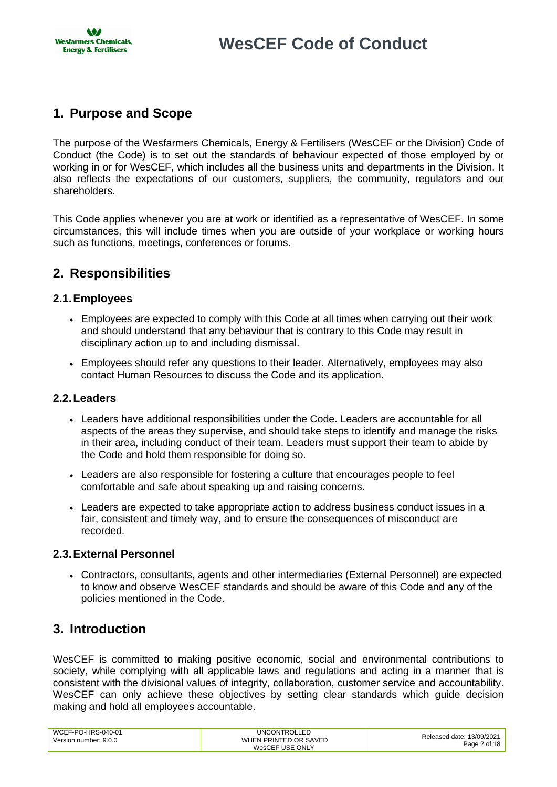# <span id="page-1-0"></span>**1. Purpose and Scope**

The purpose of the Wesfarmers Chemicals, Energy & Fertilisers (WesCEF or the Division) Code of Conduct (the Code) is to set out the standards of behaviour expected of those employed by or working in or for WesCEF, which includes all the business units and departments in the Division. It also reflects the expectations of our customers, suppliers, the community, regulators and our shareholders.

This Code applies whenever you are at work or identified as a representative of WesCEF. In some circumstances, this will include times when you are outside of your workplace or working hours such as functions, meetings, conferences or forums.

## <span id="page-1-1"></span>**2. Responsibilities**

## <span id="page-1-2"></span>**2.1.Employees**

- Employees are expected to comply with this Code at all times when carrying out their work and should understand that any behaviour that is contrary to this Code may result in disciplinary action up to and including dismissal.
- Employees should refer any questions to their leader. Alternatively, employees may also contact Human Resources to discuss the Code and its application.

## <span id="page-1-3"></span>**2.2.Leaders**

- Leaders have additional responsibilities under the Code. Leaders are accountable for all aspects of the areas they supervise, and should take steps to identify and manage the risks in their area, including conduct of their team. Leaders must support their team to abide by the Code and hold them responsible for doing so.
- Leaders are also responsible for fostering a culture that encourages people to feel comfortable and safe about speaking up and raising concerns.
- Leaders are expected to take appropriate action to address business conduct issues in a fair, consistent and timely way, and to ensure the consequences of misconduct are recorded.

## <span id="page-1-4"></span>**2.3.External Personnel**

• Contractors, consultants, agents and other intermediaries (External Personnel) are expected to know and observe WesCEF standards and should be aware of this Code and any of the policies mentioned in the Code.

## <span id="page-1-5"></span>**3. Introduction**

WesCEF is committed to making positive economic, social and environmental contributions to society, while complying with all applicable laws and regulations and acting in a manner that is consistent with the divisional values of integrity, collaboration, customer service and accountability. WesCEF can only achieve these objectives by setting clear standards which guide decision making and hold all employees accountable.

| WCEF-PO-HRS-040-01<br>Version number: 9.0.0 | UNCONTROLLED<br>WHEN PRINTED OR SAVED | Released date: 13/09/2021 |
|---------------------------------------------|---------------------------------------|---------------------------|
|                                             | WesCEF USE ONLY                       | Page 2 of 18              |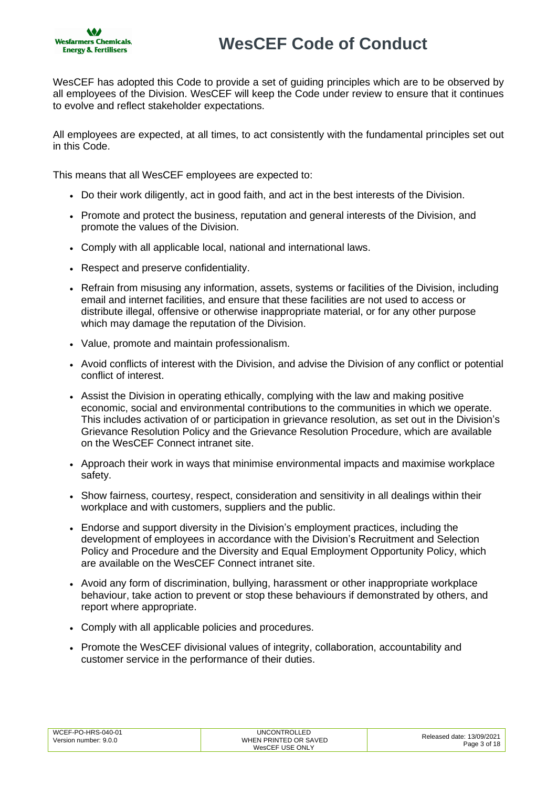

WesCEF has adopted this Code to provide a set of guiding principles which are to be observed by all employees of the Division. WesCEF will keep the Code under review to ensure that it continues to evolve and reflect stakeholder expectations.

All employees are expected, at all times, to act consistently with the fundamental principles set out in this Code.

This means that all WesCEF employees are expected to:

- Do their work diligently, act in good faith, and act in the best interests of the Division.
- Promote and protect the business, reputation and general interests of the Division, and promote the values of the Division.
- Comply with all applicable local, national and international laws.
- Respect and preserve confidentiality.
- Refrain from misusing any information, assets, systems or facilities of the Division, including email and internet facilities, and ensure that these facilities are not used to access or distribute illegal, offensive or otherwise inappropriate material, or for any other purpose which may damage the reputation of the Division.
- Value, promote and maintain professionalism.
- Avoid conflicts of interest with the Division, and advise the Division of any conflict or potential conflict of interest.
- Assist the Division in operating ethically, complying with the law and making positive economic, social and environmental contributions to the communities in which we operate. This includes activation of or participation in grievance resolution, as set out in the Division's Grievance Resolution Policy and the Grievance Resolution Procedure, which are available on the WesCEF Connect intranet site.
- Approach their work in ways that minimise environmental impacts and maximise workplace safety.
- Show fairness, courtesy, respect, consideration and sensitivity in all dealings within their workplace and with customers, suppliers and the public.
- Endorse and support diversity in the Division's employment practices, including the development of employees in accordance with the Division's Recruitment and Selection Policy and Procedure and the Diversity and Equal Employment Opportunity Policy, which are available on the [WesCEF Connect intranet site.](http://wesi.wesfarmers.com.au/public/download.jsp?id=1947)
- Avoid any form of discrimination, bullying, harassment or other inappropriate workplace behaviour, take action to prevent or stop these behaviours if demonstrated by others, and report where appropriate.
- Comply with all applicable policies and procedures.
- Promote the WesCEF divisional values of integrity, collaboration, accountability and customer service in the performance of their duties.

| WCEF-PO-HRS-040-01    | <b>UNCONTROLLED</b>   | Released date: 13/09/2021 |
|-----------------------|-----------------------|---------------------------|
| Version number: 9.0.0 | WHEN PRINTED OR SAVED | Page 3 of 18              |
|                       | WesCEF USE ONLY       |                           |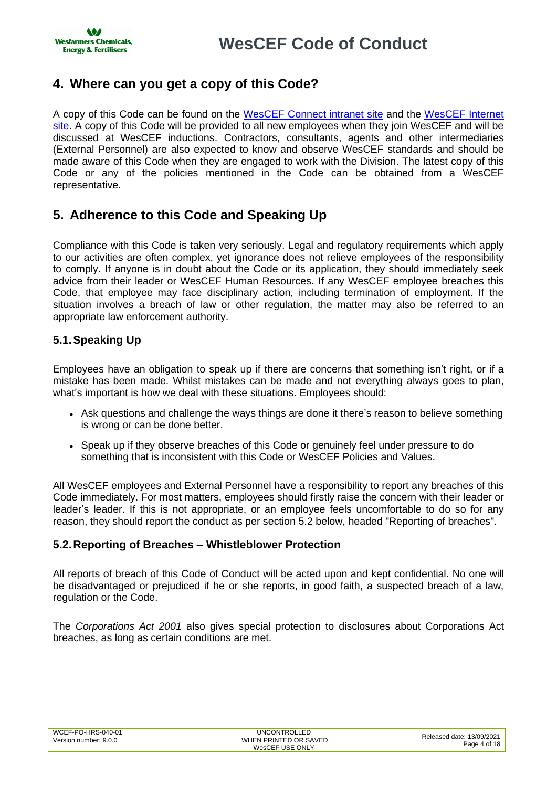## <span id="page-3-0"></span>**4. Where can you get a copy of this Code?**

A copy of this Code can be found on the [WesCEF Connect intranet site](https://wesfarmerswescef.sharepoint.com/sites/connect/SitePages/PoliciesAndForms.aspx) and the [WesCEF Internet](http://www.wescef.com.au/who-we-are/governance)  [site.](http://www.wescef.com.au/who-we-are/governance) A copy of this Code will be provided to all new employees when they join WesCEF and will be discussed at WesCEF inductions. Contractors, consultants, agents and other intermediaries (External Personnel) are also expected to know and observe WesCEF standards and should be made aware of this Code when they are engaged to work with the Division. The latest copy of this Code or any of the policies mentioned in the Code can be obtained from a WesCEF representative.

# <span id="page-3-1"></span>**5. Adherence to this Code and Speaking Up**

Compliance with this Code is taken very seriously. Legal and regulatory requirements which apply to our activities are often complex, yet ignorance does not relieve employees of the responsibility to comply. If anyone is in doubt about the Code or its application, they should immediately seek advice from their leader or WesCEF Human Resources. If any WesCEF employee breaches this Code, that employee may face disciplinary action, including termination of employment. If the situation involves a breach of law or other regulation, the matter may also be referred to an appropriate law enforcement authority.

## <span id="page-3-2"></span>**5.1.Speaking Up**

Employees have an obligation to speak up if there are concerns that something isn't right, or if a mistake has been made. Whilst mistakes can be made and not everything always goes to plan, what's important is how we deal with these situations. Employees should:

- Ask questions and challenge the ways things are done it there's reason to believe something is wrong or can be done better.
- Speak up if they observe breaches of this Code or genuinely feel under pressure to do something that is inconsistent with this Code or WesCEF Policies and Values.

All WesCEF employees and External Personnel have a responsibility to report any breaches of this Code immediately. For most matters, employees should firstly raise the concern with their leader or leader's leader. If this is not appropriate, or an employee feels uncomfortable to do so for any reason, they should report the conduct as per section 5.2 below, headed "Reporting of breaches".

## <span id="page-3-3"></span>**5.2.Reporting of Breaches – Whistleblower Protection**

All reports of breach of this Code of Conduct will be acted upon and kept confidential. No one will be disadvantaged or prejudiced if he or she reports, in good faith, a suspected breach of a law, regulation or the Code.

The *Corporations Act 2001* also gives special protection to disclosures about Corporations Act breaches, as long as certain conditions are met.

| WCEF-PO-HRS-040-01<br><b>UNCONTROLLED</b><br>WHEN PRINTED OR SAVED<br>Version number: 9.0.0<br>WesCEF USE ONLY | Released date: 13/09/2021<br>Page 4 of 18 |
|----------------------------------------------------------------------------------------------------------------|-------------------------------------------|
|----------------------------------------------------------------------------------------------------------------|-------------------------------------------|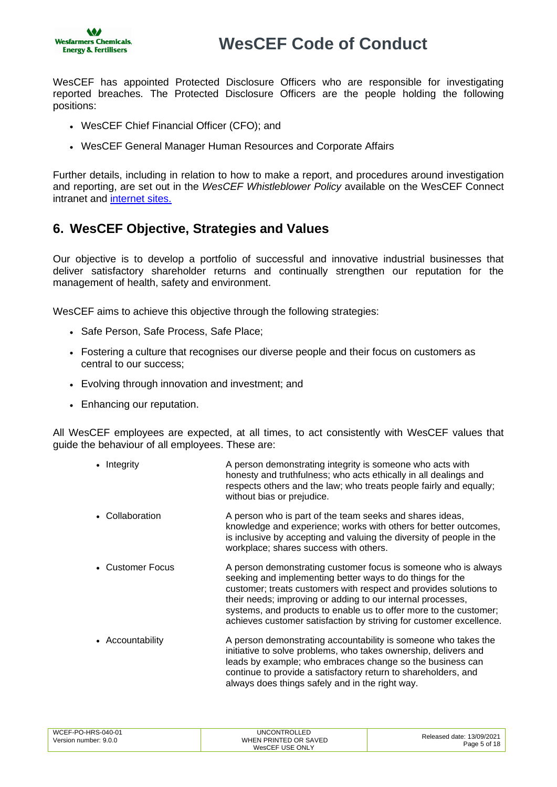

WesCEF has appointed Protected Disclosure Officers who are responsible for investigating reported breaches. The Protected Disclosure Officers are the people holding the following positions:

- WesCEF Chief Financial Officer (CFO); and
- WesCEF General Manager Human Resources and Corporate Affairs

Further details, including in relation to how to make a report, and procedures around investigation and reporting, are set out in the *WesCEF Whistleblower Policy* available on the WesCEF Connect intranet and [internet sites.](http://www.wescef.com.au/who-we-are/governance)

## <span id="page-4-0"></span>**6. WesCEF Objective, Strategies and Values**

Our objective is to develop a portfolio of successful and innovative industrial businesses that deliver satisfactory shareholder returns and continually strengthen our reputation for the management of health, safety and environment.

WesCEF aims to achieve this objective through the following strategies:

- Safe Person, Safe Process, Safe Place;
- Fostering a culture that recognises our diverse people and their focus on customers as central to our success;
- Evolving through innovation and investment; and
- Enhancing our reputation.

All WesCEF employees are expected, at all times, to act consistently with WesCEF values that guide the behaviour of all employees. These are:

- Integrity **A person demonstrating integrity is someone who acts with** honesty and truthfulness; who acts ethically in all dealings and respects others and the law; who treats people fairly and equally; without bias or prejudice.
- Collaboration **A** person who is part of the team seeks and shares ideas, knowledge and experience; works with others for better outcomes, is inclusive by accepting and valuing the diversity of people in the workplace; shares success with others.
- Customer Focus A person demonstrating customer focus is someone who is always seeking and implementing better ways to do things for the customer; treats customers with respect and provides solutions to their needs; improving or adding to our internal processes, systems, and products to enable us to offer more to the customer; achieves customer satisfaction by striving for customer excellence.
- Accountability A person demonstrating accountability is someone who takes the initiative to solve problems, who takes ownership, delivers and leads by example; who embraces change so the business can continue to provide a satisfactory return to shareholders, and always does things safely and in the right way.

| WCEF-PO-HRS-040-01<br>Version number: 9.0.0 | <b>UNCONTROLLED</b><br>WHEN PRINTED OR SAVED | Released date: 13/09/2021 |
|---------------------------------------------|----------------------------------------------|---------------------------|
|                                             | WesCEF USE ONLY                              | Page 5 of 18              |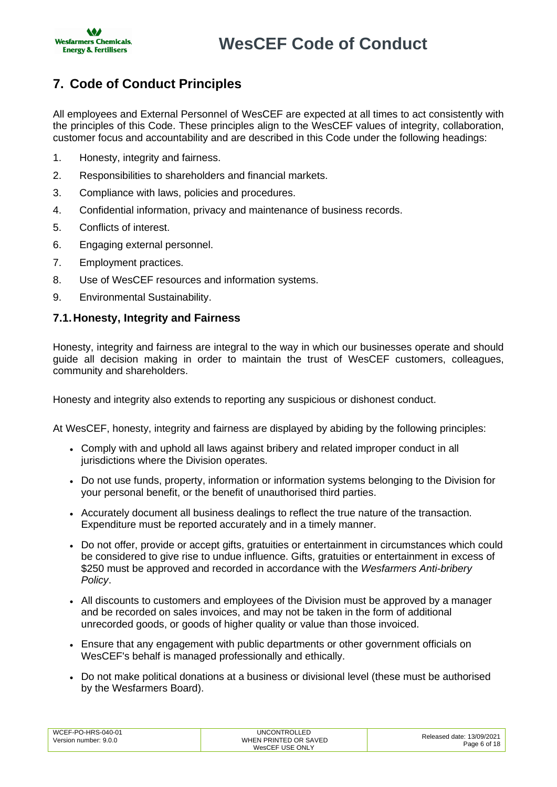

# <span id="page-5-0"></span>**7. Code of Conduct Principles**

All employees and External Personnel of WesCEF are expected at all times to act consistently with the principles of this Code. These principles align to the WesCEF values of integrity, collaboration, customer focus and accountability and are described in this Code under the following headings:

- 1. Honesty, integrity and fairness.
- 2. Responsibilities to shareholders and financial markets.
- 3. Compliance with laws, policies and procedures.
- 4. Confidential information, privacy and maintenance of business records.
- 5. Conflicts of interest.
- 6. Engaging external personnel.
- 7. Employment practices.
- 8. Use of WesCEF resources and information systems.
- 9. Environmental Sustainability.

## <span id="page-5-1"></span>**7.1.Honesty, Integrity and Fairness**

Honesty, integrity and fairness are integral to the way in which our businesses operate and should guide all decision making in order to maintain the trust of WesCEF customers, colleagues, community and shareholders.

Honesty and integrity also extends to reporting any suspicious or dishonest conduct.

At WesCEF, honesty, integrity and fairness are displayed by abiding by the following principles:

- Comply with and uphold all laws against bribery and related improper conduct in all jurisdictions where the Division operates.
- Do not use funds, property, information or information systems belonging to the Division for your personal benefit, or the benefit of unauthorised third parties.
- Accurately document all business dealings to reflect the true nature of the transaction. Expenditure must be reported accurately and in a timely manner.
- Do not offer, provide or accept gifts, gratuities or entertainment in circumstances which could be considered to give rise to undue influence. Gifts, gratuities or entertainment in excess of \$250 must be approved and recorded in accordance with the *Wesfarmers Anti-bribery Policy*.
- All discounts to customers and employees of the Division must be approved by a manager and be recorded on sales invoices, and may not be taken in the form of additional unrecorded goods, or goods of higher quality or value than those invoiced.
- Ensure that any engagement with public departments or other government officials on WesCEF's behalf is managed professionally and ethically.
- Do not make political donations at a business or divisional level (these must be authorised by the Wesfarmers Board).

| WCEF-PO-HRS-040-01    | <b>UNCONTROLLED</b>   | Released date: 13/09/2021 |
|-----------------------|-----------------------|---------------------------|
| Version number: 9.0.0 | WHEN PRINTED OR SAVED | Page 6 of 18              |
|                       | WesCEF USE ONLY       |                           |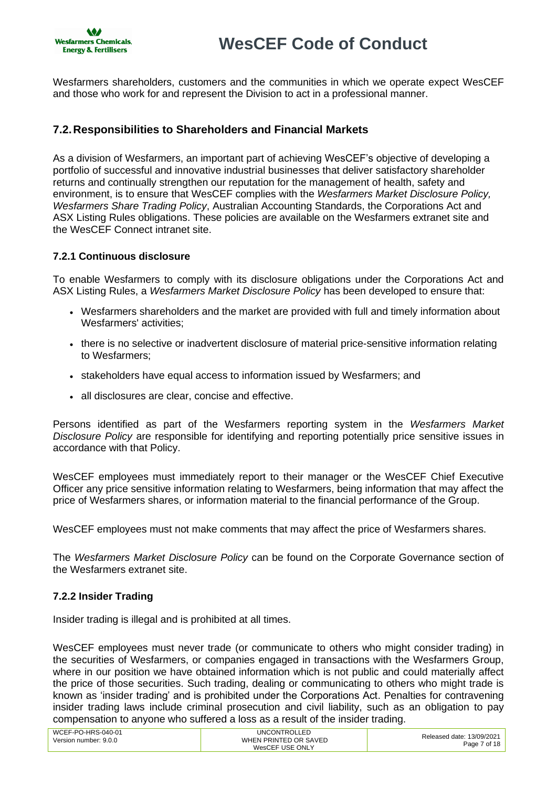

Wesfarmers shareholders, customers and the communities in which we operate expect WesCEF and those who work for and represent the Division to act in a professional manner.

## <span id="page-6-0"></span>**7.2.Responsibilities to Shareholders and Financial Markets**

As a division of Wesfarmers, an important part of achieving WesCEF's objective of developing a portfolio of successful and innovative industrial businesses that deliver satisfactory shareholder returns and continually strengthen our reputation for the management of health, safety and environment, is to ensure that WesCEF complies with the *Wesfarmers Market Disclosure Policy, Wesfarmers Share Trading Policy*, Australian Accounting Standards, the Corporations Act and ASX Listing Rules obligations. These policies are available on the Wesfarmers extranet site and the WesCEF Connect intranet site.

## **7.2.1 Continuous disclosure**

To enable Wesfarmers to comply with its disclosure obligations under the Corporations Act and ASX Listing Rules, a *Wesfarmers Market Disclosure Policy* has been developed to ensure that:

- Wesfarmers shareholders and the market are provided with full and timely information about Wesfarmers' activities;
- there is no selective or inadvertent disclosure of material price-sensitive information relating to Wesfarmers;
- stakeholders have equal access to information issued by Wesfarmers; and
- all disclosures are clear, concise and effective.

Persons identified as part of the Wesfarmers reporting system in the *Wesfarmers Market Disclosure Policy* are responsible for identifying and reporting potentially price sensitive issues in accordance with that Policy.

WesCEF employees must immediately report to their manager or the WesCEF Chief Executive Officer any price sensitive information relating to Wesfarmers, being information that may affect the price of Wesfarmers shares, or information material to the financial performance of the Group.

WesCEF employees must not make comments that may affect the price of Wesfarmers shares.

The *Wesfarmers Market Disclosure Policy* can be found on the Corporate Governance section of the Wesfarmers extranet site.

## **7.2.2 Insider Trading**

Insider trading is illegal and is prohibited at all times.

WesCEF employees must never trade (or communicate to others who might consider trading) in the securities of Wesfarmers, or companies engaged in transactions with the Wesfarmers Group, where in our position we have obtained information which is not public and could materially affect the price of those securities. Such trading, dealing or communicating to others who might trade is known as 'insider trading' and is prohibited under the Corporations Act. Penalties for contravening insider trading laws include criminal prosecution and civil liability, such as an obligation to pay compensation to anyone who suffered a loss as a result of the insider trading.

| WCEF-PO-HRS-040-01<br>Version number: 9.0.0 | <b>UNCONTROLLED</b><br>WHEN PRINTED OR SAVED | Released date: 13/09/2021 |
|---------------------------------------------|----------------------------------------------|---------------------------|
|                                             | WesCEF USE ONLY                              | Page 7 of 18              |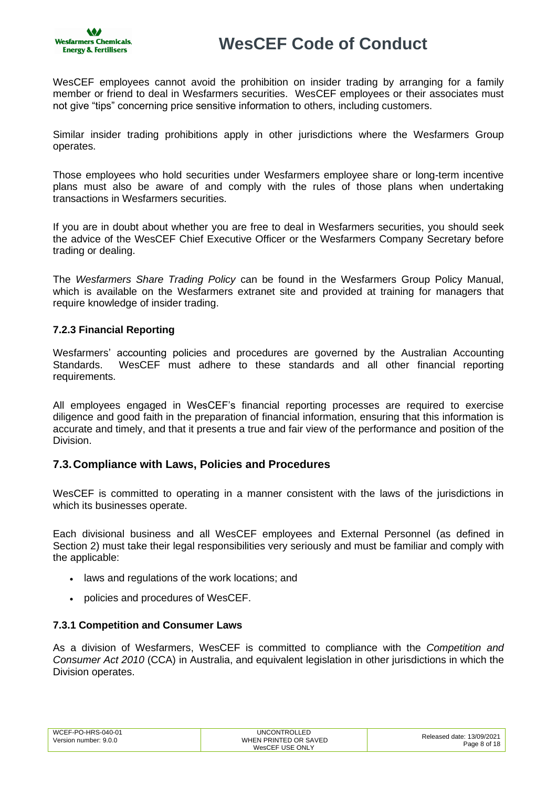

WesCEF employees cannot avoid the prohibition on insider trading by arranging for a family member or friend to deal in Wesfarmers securities. WesCEF employees or their associates must not give "tips" concerning price sensitive information to others, including customers.

Similar insider trading prohibitions apply in other jurisdictions where the Wesfarmers Group operates.

Those employees who hold securities under Wesfarmers employee share or long-term incentive plans must also be aware of and comply with the rules of those plans when undertaking transactions in Wesfarmers securities.

If you are in doubt about whether you are free to deal in Wesfarmers securities, you should seek the advice of the WesCEF Chief Executive Officer or the Wesfarmers Company Secretary before trading or dealing.

The *Wesfarmers Share Trading Policy* can be found in the Wesfarmers Group Policy Manual, which is available on the Wesfarmers extranet site and provided at training for managers that require knowledge of insider trading.

## **7.2.3 Financial Reporting**

Wesfarmers' accounting policies and procedures are governed by the Australian Accounting Standards. WesCEF must adhere to these standards and all other financial reporting requirements.

All employees engaged in WesCEF's financial reporting processes are required to exercise diligence and good faith in the preparation of financial information, ensuring that this information is accurate and timely, and that it presents a true and fair view of the performance and position of the Division.

## <span id="page-7-0"></span>**7.3.Compliance with Laws, Policies and Procedures**

WesCEF is committed to operating in a manner consistent with the laws of the jurisdictions in which its businesses operate.

Each divisional business and all WesCEF employees and External Personnel (as defined in Section 2) must take their legal responsibilities very seriously and must be familiar and comply with the applicable:

- laws and regulations of the work locations; and
- policies and procedures of WesCEF.

#### **7.3.1 Competition and Consumer Laws**

As a division of Wesfarmers, WesCEF is committed to compliance with the *Competition and Consumer Act 2010* (CCA) in Australia, and equivalent legislation in other jurisdictions in which the Division operates.

| WCEF-PO-HRS-040-01<br>Version number: 9.0.0 | UNCONTROLLED<br>WHEN PRINTED OR SAVED | Released date: 13/09/2021 |
|---------------------------------------------|---------------------------------------|---------------------------|
|                                             | WesCEF USE ONLY                       | Page 8 of 18              |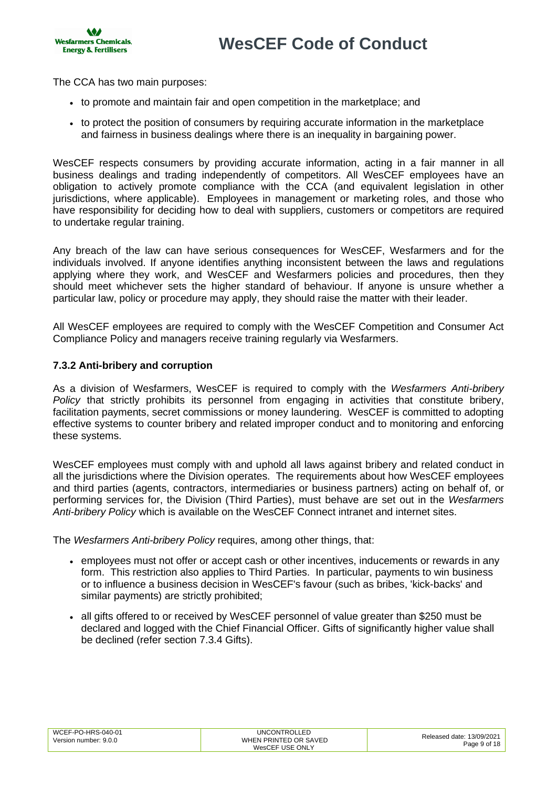**AG Wesfarmers Chemicals, Energy & Fertilisers** 

The CCA has two main purposes:

- to promote and maintain fair and open competition in the marketplace; and
- to protect the position of consumers by requiring accurate information in the marketplace and fairness in business dealings where there is an inequality in bargaining power.

WesCEF respects consumers by providing accurate information, acting in a fair manner in all business dealings and trading independently of competitors. All WesCEF employees have an obligation to actively promote compliance with the CCA (and equivalent legislation in other jurisdictions, where applicable). Employees in management or marketing roles, and those who have responsibility for deciding how to deal with suppliers, customers or competitors are required to undertake regular training.

Any breach of the law can have serious consequences for WesCEF, Wesfarmers and for the individuals involved. If anyone identifies anything inconsistent between the laws and regulations applying where they work, and WesCEF and Wesfarmers policies and procedures, then they should meet whichever sets the higher standard of behaviour. If anyone is unsure whether a particular law, policy or procedure may apply, they should raise the matter with their leader.

All WesCEF employees are required to comply with the WesCEF Competition and Consumer Act Compliance Policy and managers receive training regularly via Wesfarmers.

### **7.3.2 Anti-bribery and corruption**

As a division of Wesfarmers, WesCEF is required to comply with the *Wesfarmers Anti-bribery Policy* that strictly prohibits its personnel from engaging in activities that constitute bribery, facilitation payments, secret commissions or money laundering. WesCEF is committed to adopting effective systems to counter bribery and related improper conduct and to monitoring and enforcing these systems.

WesCEF employees must comply with and uphold all laws against bribery and related conduct in all the jurisdictions where the Division operates. The requirements about how WesCEF employees and third parties (agents, contractors, intermediaries or business partners) acting on behalf of, or performing services for, the Division (Third Parties), must behave are set out in the *Wesfarmers Anti-bribery Policy* which is available on the WesCEF Connect intranet and internet sites.

The *Wesfarmers Anti-bribery Policy* requires, among other things, that:

- employees must not offer or accept cash or other incentives, inducements or rewards in any form. This restriction also applies to Third Parties. In particular, payments to win business or to influence a business decision in WesCEF's favour (such as bribes, 'kick-backs' and similar payments) are strictly prohibited;
- all gifts offered to or received by WesCEF personnel of value greater than \$250 must be declared and logged with the Chief Financial Officer. Gifts of significantly higher value shall be declined (refer section 7.3.4 Gifts).

| WCEF-PO-HRS-040-01    | UNCONTROLLED          | Released date: 13/09/2021 |
|-----------------------|-----------------------|---------------------------|
| Version number: 9.0.0 | WHEN PRINTED OR SAVED | Page 9 of 18              |
|                       | WesCEF USE ONLY       |                           |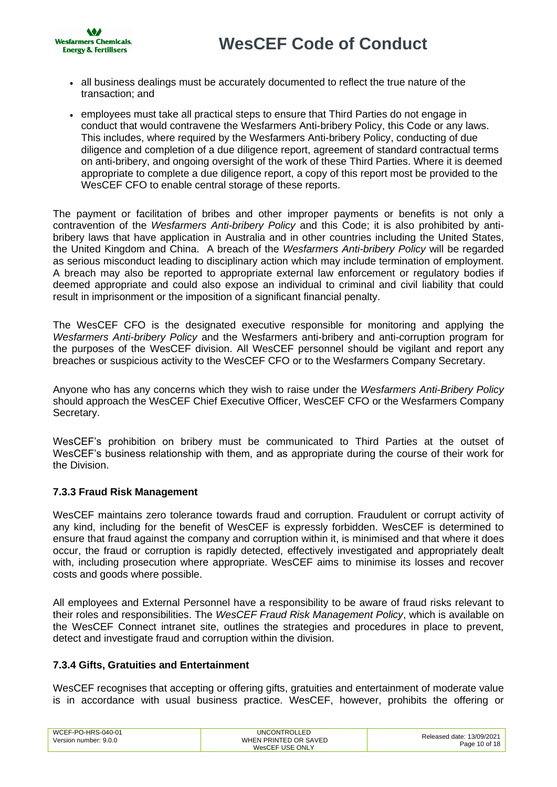

- all business dealings must be accurately documented to reflect the true nature of the transaction; and
- employees must take all practical steps to ensure that Third Parties do not engage in conduct that would contravene the Wesfarmers Anti-bribery Policy, this Code or any laws. This includes, where required by the Wesfarmers Anti-bribery Policy, conducting of due diligence and completion of a due diligence report, agreement of standard contractual terms on anti-bribery, and ongoing oversight of the work of these Third Parties. Where it is deemed appropriate to complete a due diligence report, a copy of this report most be provided to the WesCEF CFO to enable central storage of these reports.

The payment or facilitation of bribes and other improper payments or benefits is not only a contravention of the *Wesfarmers Anti-bribery Policy* and this Code; it is also prohibited by antibribery laws that have application in Australia and in other countries including the United States, the United Kingdom and China. A breach of the *Wesfarmers Anti-bribery Policy* will be regarded as serious misconduct leading to disciplinary action which may include termination of employment. A breach may also be reported to appropriate external law enforcement or regulatory bodies if deemed appropriate and could also expose an individual to criminal and civil liability that could result in imprisonment or the imposition of a significant financial penalty.

The WesCEF CFO is the designated executive responsible for monitoring and applying the *Wesfarmers Anti-bribery Policy* and the Wesfarmers anti-bribery and anti-corruption program for the purposes of the WesCEF division. All WesCEF personnel should be vigilant and report any breaches or suspicious activity to the WesCEF CFO or to the Wesfarmers Company Secretary.

Anyone who has any concerns which they wish to raise under the *Wesfarmers Anti-Bribery Policy* should approach the WesCEF Chief Executive Officer, WesCEF CFO or the Wesfarmers Company Secretary.

WesCEF's prohibition on bribery must be communicated to Third Parties at the outset of WesCEF's business relationship with them, and as appropriate during the course of their work for the Division.

## **7.3.3 Fraud Risk Management**

WesCEF maintains zero tolerance towards fraud and corruption. Fraudulent or corrupt activity of any kind, including for the benefit of WesCEF is expressly forbidden. WesCEF is determined to ensure that fraud against the company and corruption within it, is minimised and that where it does occur, the fraud or corruption is rapidly detected, effectively investigated and appropriately dealt with, including prosecution where appropriate. WesCEF aims to minimise its losses and recover costs and goods where possible.

All employees and External Personnel have a responsibility to be aware of fraud risks relevant to their roles and responsibilities. The *WesCEF Fraud Risk Management Policy*, which is available on the WesCEF Connect intranet site, outlines the strategies and procedures in place to prevent, detect and investigate fraud and corruption within the division.

## **7.3.4 Gifts, Gratuities and Entertainment**

WesCEF recognises that accepting or offering gifts, gratuities and entertainment of moderate value is in accordance with usual business practice. WesCEF, however, prohibits the offering or

| WCEF-PO-HRS-040-01    | <b>UNCONTROLLED</b>   | Released date: 13/09/2021 |
|-----------------------|-----------------------|---------------------------|
| Version number: 9.0.0 | WHEN PRINTED OR SAVED | Page 10 of 18             |
|                       | WesCEF USE ONLY       |                           |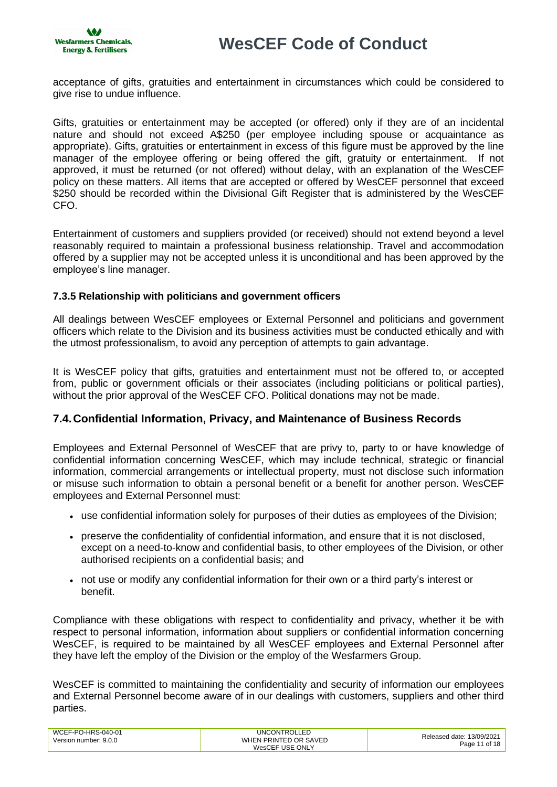

acceptance of gifts, gratuities and entertainment in circumstances which could be considered to give rise to undue influence.

Gifts, gratuities or entertainment may be accepted (or offered) only if they are of an incidental nature and should not exceed A\$250 (per employee including spouse or acquaintance as appropriate). Gifts, gratuities or entertainment in excess of this figure must be approved by the line manager of the employee offering or being offered the gift, gratuity or entertainment. If not approved, it must be returned (or not offered) without delay, with an explanation of the WesCEF policy on these matters. All items that are accepted or offered by WesCEF personnel that exceed \$250 should be recorded within the Divisional Gift Register that is administered by the WesCEF CFO.

Entertainment of customers and suppliers provided (or received) should not extend beyond a level reasonably required to maintain a professional business relationship. Travel and accommodation offered by a supplier may not be accepted unless it is unconditional and has been approved by the employee's line manager.

### **7.3.5 Relationship with politicians and government officers**

All dealings between WesCEF employees or External Personnel and politicians and government officers which relate to the Division and its business activities must be conducted ethically and with the utmost professionalism, to avoid any perception of attempts to gain advantage.

It is WesCEF policy that gifts, gratuities and entertainment must not be offered to, or accepted from, public or government officials or their associates (including politicians or political parties), without the prior approval of the WesCEF CFO. Political donations may not be made.

## <span id="page-10-0"></span>**7.4.Confidential Information, Privacy, and Maintenance of Business Records**

Employees and External Personnel of WesCEF that are privy to, party to or have knowledge of confidential information concerning WesCEF, which may include technical, strategic or financial information, commercial arrangements or intellectual property, must not disclose such information or misuse such information to obtain a personal benefit or a benefit for another person. WesCEF employees and External Personnel must:

- use confidential information solely for purposes of their duties as employees of the Division;
- preserve the confidentiality of confidential information, and ensure that it is not disclosed, except on a need-to-know and confidential basis, to other employees of the Division, or other authorised recipients on a confidential basis; and
- not use or modify any confidential information for their own or a third party's interest or benefit.

Compliance with these obligations with respect to confidentiality and privacy, whether it be with respect to personal information, information about suppliers or confidential information concerning WesCEF, is required to be maintained by all WesCEF employees and External Personnel after they have left the employ of the Division or the employ of the Wesfarmers Group.

WesCEF is committed to maintaining the confidentiality and security of information our employees and External Personnel become aware of in our dealings with customers, suppliers and other third parties.

| WCEF-PO-HRS-040-01<br>Version number: 9.0.0 | <b>UNCONTROLLED</b><br>WHEN PRINTED OR SAVED | Released date: 13/09/2021 |
|---------------------------------------------|----------------------------------------------|---------------------------|
|                                             | WesCEF USE ONLY                              | Page 11 of 18             |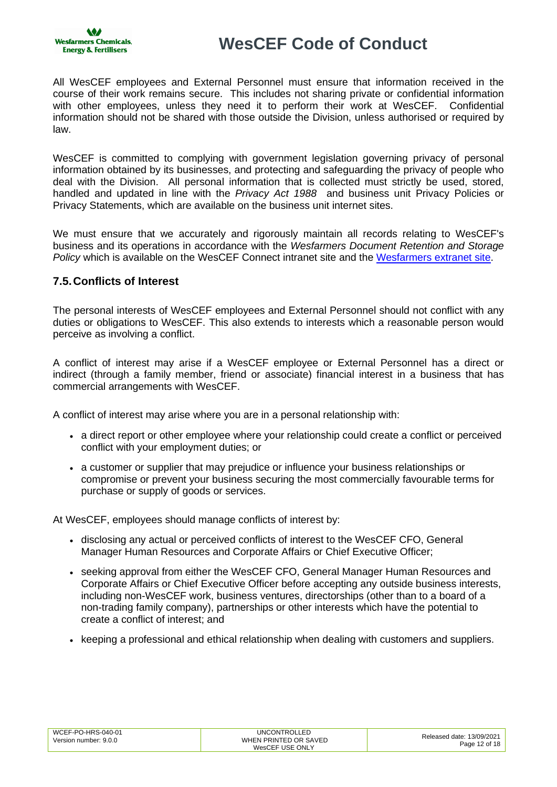All WesCEF employees and External Personnel must ensure that information received in the course of their work remains secure. This includes not sharing private or confidential information with other employees, unless they need it to perform their work at WesCEF. Confidential information should not be shared with those outside the Division, unless authorised or required by law.

WesCEF is committed to complying with government legislation governing privacy of personal information obtained by its businesses, and protecting and safeguarding the privacy of people who deal with the Division. All personal information that is collected must strictly be used, stored, handled and updated in line with the *Privacy Act 1988* and business unit Privacy Policies or Privacy Statements, which are available on the business unit internet sites.

We must ensure that we accurately and rigorously maintain all records relating to WesCEF's business and its operations in accordance with the *Wesfarmers Document Retention and Storage Policy* which is available on the WesCEF Connect intranet site and the [Wesfarmers extranet site.](https://wese.wesfarmers.com.au/wes/resource_centre/group_policy_manual.jsp)

## <span id="page-11-0"></span>**7.5.Conflicts of Interest**

The personal interests of WesCEF employees and External Personnel should not conflict with any duties or obligations to WesCEF. This also extends to interests which a reasonable person would perceive as involving a conflict.

A conflict of interest may arise if a WesCEF employee or External Personnel has a direct or indirect (through a family member, friend or associate) financial interest in a business that has commercial arrangements with WesCEF.

A conflict of interest may arise where you are in a personal relationship with:

- a direct report or other employee where your relationship could create a conflict or perceived conflict with your employment duties; or
- a customer or supplier that may prejudice or influence your business relationships or compromise or prevent your business securing the most commercially favourable terms for purchase or supply of goods or services.

At WesCEF, employees should manage conflicts of interest by:

- disclosing any actual or perceived conflicts of interest to the WesCEF CFO, General Manager Human Resources and Corporate Affairs or Chief Executive Officer;
- seeking approval from either the WesCEF CFO, General Manager Human Resources and Corporate Affairs or Chief Executive Officer before accepting any outside business interests, including non-WesCEF work, business ventures, directorships (other than to a board of a non-trading family company), partnerships or other interests which have the potential to create a conflict of interest; and
- keeping a professional and ethical relationship when dealing with customers and suppliers.

| WCEF-PO-HRS-040-01    | <b>UNCONTROLLED</b>   | Released date: 13/09/2021 |
|-----------------------|-----------------------|---------------------------|
| Version number: 9.0.0 | WHEN PRINTED OR SAVED | Page 12 of 18             |
|                       | WesCEF USE ONLY       |                           |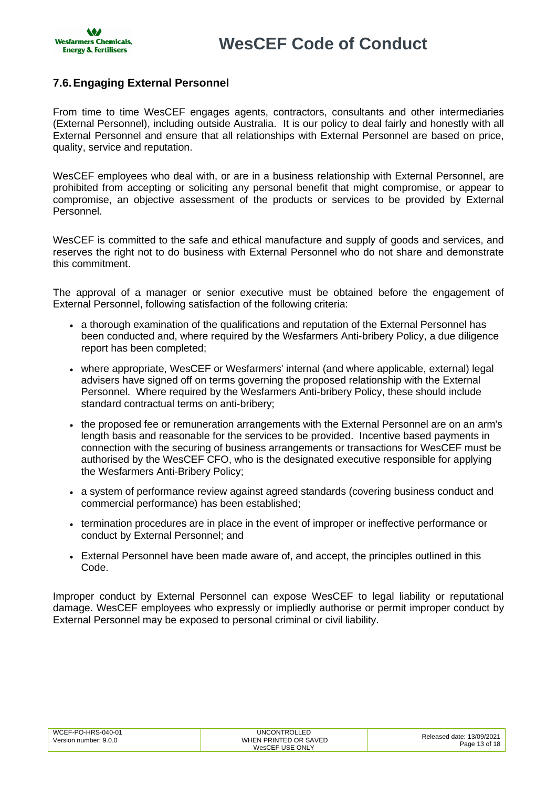

## <span id="page-12-0"></span>**7.6.Engaging External Personnel**

From time to time WesCEF engages agents, contractors, consultants and other intermediaries (External Personnel), including outside Australia. It is our policy to deal fairly and honestly with all External Personnel and ensure that all relationships with External Personnel are based on price, quality, service and reputation.

WesCEF employees who deal with, or are in a business relationship with External Personnel, are prohibited from accepting or soliciting any personal benefit that might compromise, or appear to compromise, an objective assessment of the products or services to be provided by External Personnel.

WesCEF is committed to the safe and ethical manufacture and supply of goods and services, and reserves the right not to do business with External Personnel who do not share and demonstrate this commitment.

The approval of a manager or senior executive must be obtained before the engagement of External Personnel, following satisfaction of the following criteria:

- a thorough examination of the qualifications and reputation of the External Personnel has been conducted and, where required by the Wesfarmers Anti-bribery Policy, a due diligence report has been completed;
- where appropriate, WesCEF or Wesfarmers' internal (and where applicable, external) legal advisers have signed off on terms governing the proposed relationship with the External Personnel. Where required by the Wesfarmers Anti-bribery Policy, these should include standard contractual terms on anti-bribery;
- the proposed fee or remuneration arrangements with the External Personnel are on an arm's length basis and reasonable for the services to be provided. Incentive based payments in connection with the securing of business arrangements or transactions for WesCEF must be authorised by the WesCEF CFO, who is the designated executive responsible for applying the Wesfarmers Anti-Bribery Policy;
- a system of performance review against agreed standards (covering business conduct and commercial performance) has been established;
- termination procedures are in place in the event of improper or ineffective performance or conduct by External Personnel; and
- External Personnel have been made aware of, and accept, the principles outlined in this Code.

Improper conduct by External Personnel can expose WesCEF to legal liability or reputational damage. WesCEF employees who expressly or impliedly authorise or permit improper conduct by External Personnel may be exposed to personal criminal or civil liability.

| WCEF-PO-HRS-040-01<br>Version number: 9.0.0 | UNCONTROLLED<br>WHEN PRINTED OR SAVED<br>WesCEF USE ONLY | Released date: 13/09/2021<br>Page 13 of 18 |
|---------------------------------------------|----------------------------------------------------------|--------------------------------------------|
|---------------------------------------------|----------------------------------------------------------|--------------------------------------------|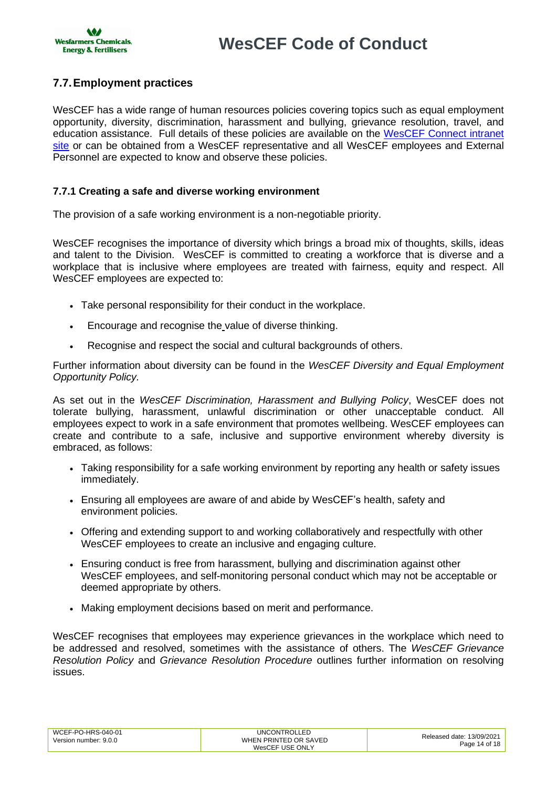

## <span id="page-13-0"></span>**7.7.Employment practices**

WesCEF has a wide range of human resources policies covering topics such as equal employment opportunity, diversity, discrimination, harassment and bullying, grievance resolution, travel, and education assistance. Full details of these policies are available on the [WesCEF Connect](https://wesfarmerswescef.sharepoint.com/sites/connect/SitePages/PoliciesAndForms.aspx) intranet [site](https://wesfarmerswescef.sharepoint.com/sites/connect/SitePages/PoliciesAndForms.aspx) or can be obtained from a WesCEF representative and all WesCEF employees and External Personnel are expected to know and observe these policies.

## **7.7.1 Creating a safe and diverse working environment**

The provision of a safe working environment is a non-negotiable priority.

WesCEF recognises the importance of diversity which brings a broad mix of thoughts, skills, ideas and talent to the Division. WesCEF is committed to creating a workforce that is diverse and a workplace that is inclusive where employees are treated with fairness, equity and respect. All WesCEF employees are expected to:

- Take personal responsibility for their conduct in the workplace.
- Encourage and recognise the value of diverse thinking.
- Recognise and respect the social and cultural backgrounds of others.

Further information about diversity can be found in the *WesCEF Diversity and Equal Employment Opportunity Policy.*

As set out in the *WesCEF Discrimination, Harassment and Bullying Policy*, WesCEF does not tolerate bullying, harassment, unlawful discrimination or other unacceptable conduct. All employees expect to work in a safe environment that promotes wellbeing. WesCEF employees can create and contribute to a safe, inclusive and supportive environment whereby diversity is embraced, as follows:

- Taking responsibility for a safe working environment by reporting any health or safety issues immediately.
- Ensuring all employees are aware of and abide by WesCEF's health, safety and environment policies.
- Offering and extending support to and working collaboratively and respectfully with other WesCEF employees to create an inclusive and engaging culture.
- Ensuring conduct is free from harassment, bullying and discrimination against other WesCEF employees, and self-monitoring personal conduct which may not be acceptable or deemed appropriate by others.
- Making employment decisions based on merit and performance.

WesCEF recognises that employees may experience grievances in the workplace which need to be addressed and resolved, sometimes with the assistance of others. The *WesCEF Grievance Resolution Policy* and *Grievance Resolution Procedure* outlines further information on resolving issues.

| WCEF-PO-HRS-040-01<br>Version number: 9.0.0 | <b>UNCONTROLLED</b><br>WHEN PRINTED OR SAVED | Released date: 13/09/2021 |
|---------------------------------------------|----------------------------------------------|---------------------------|
|                                             | WesCEF USE ONLY                              | Page 14 of 18             |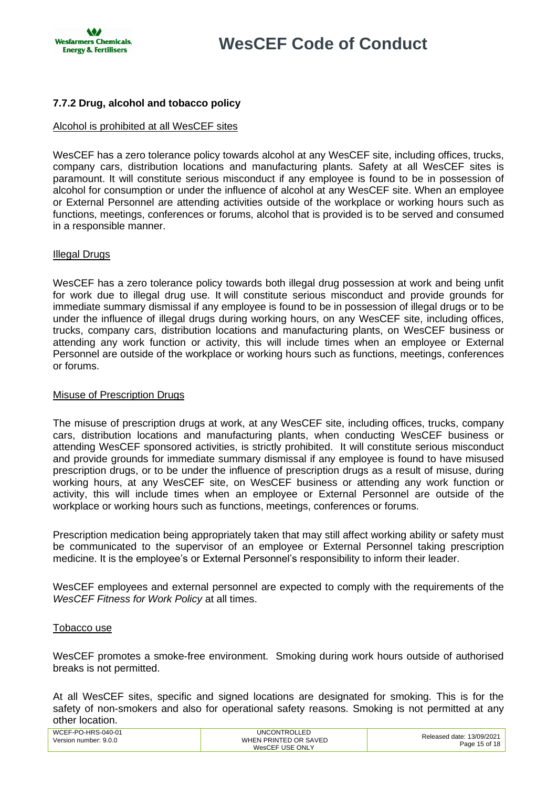

## **7.7.2 Drug, alcohol and tobacco policy**

## Alcohol is prohibited at all WesCEF sites

WesCEF has a zero tolerance policy towards alcohol at any WesCEF site, including offices, trucks, company cars, distribution locations and manufacturing plants. Safety at all WesCEF sites is paramount. It will constitute serious misconduct if any employee is found to be in possession of alcohol for consumption or under the influence of alcohol at any WesCEF site. When an employee or External Personnel are attending activities outside of the workplace or working hours such as functions, meetings, conferences or forums, alcohol that is provided is to be served and consumed in a responsible manner.

### Illegal Drugs

WesCEF has a zero tolerance policy towards both illegal drug possession at work and being unfit for work due to illegal drug use. It will constitute serious misconduct and provide grounds for immediate summary dismissal if any employee is found to be in possession of illegal drugs or to be under the influence of illegal drugs during working hours, on any WesCEF site, including offices, trucks, company cars, distribution locations and manufacturing plants, on WesCEF business or attending any work function or activity, this will include times when an employee or External Personnel are outside of the workplace or working hours such as functions, meetings, conferences or forums.

#### Misuse of Prescription Drugs

The misuse of prescription drugs at work, at any WesCEF site, including offices, trucks, company cars, distribution locations and manufacturing plants, when conducting WesCEF business or attending WesCEF sponsored activities, is strictly prohibited. It will constitute serious misconduct and provide grounds for immediate summary dismissal if any employee is found to have misused prescription drugs, or to be under the influence of prescription drugs as a result of misuse, during working hours, at any WesCEF site, on WesCEF business or attending any work function or activity, this will include times when an employee or External Personnel are outside of the workplace or working hours such as functions, meetings, conferences or forums.

Prescription medication being appropriately taken that may still affect working ability or safety must be communicated to the supervisor of an employee or External Personnel taking prescription medicine. It is the employee's or External Personnel's responsibility to inform their leader.

WesCEF employees and external personnel are expected to comply with the requirements of the *WesCEF Fitness for Work Policy* at all times.

#### Tobacco use

WesCEF promotes a smoke-free environment. Smoking during work hours outside of authorised breaks is not permitted.

At all WesCEF sites, specific and signed locations are designated for smoking. This is for the safety of non-smokers and also for operational safety reasons. Smoking is not permitted at any other location.

| WCEF-PO-HRS-040-01<br>Version number: 9.0.0 | <b>UNCONTROLLED</b><br>WHEN PRINTED OR SAVED | Released date: 13/09/2021 |
|---------------------------------------------|----------------------------------------------|---------------------------|
|                                             | WesCEF USE ONLY                              | Page 15 of 18             |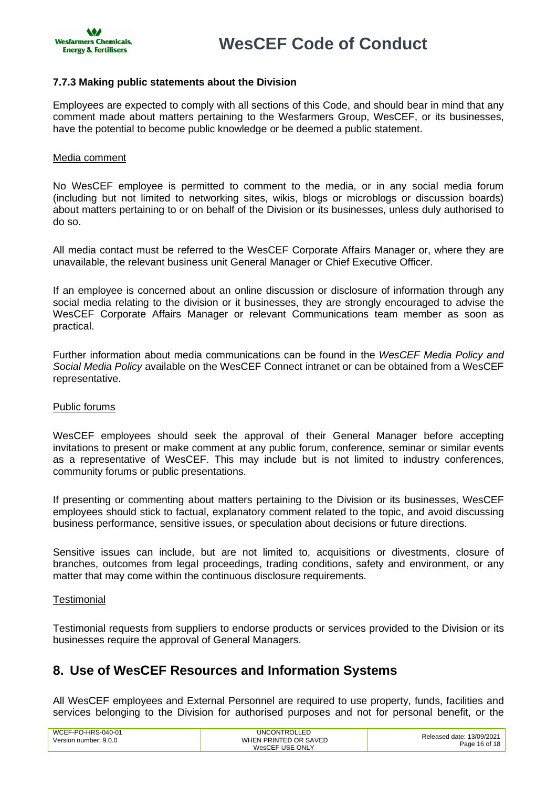#### **7.7.3 Making public statements about the Division**

Employees are expected to comply with all sections of this Code, and should bear in mind that any comment made about matters pertaining to the Wesfarmers Group, WesCEF, or its businesses, have the potential to become public knowledge or be deemed a public statement.

#### Media comment

No WesCEF employee is permitted to comment to the media, or in any social media forum (including but not limited to networking sites, wikis, blogs or microblogs or discussion boards) about matters pertaining to or on behalf of the Division or its businesses, unless duly authorised to do so.

All media contact must be referred to the WesCEF Corporate Affairs Manager or, where they are unavailable, the relevant business unit General Manager or Chief Executive Officer.

If an employee is concerned about an online discussion or disclosure of information through any social media relating to the division or it businesses, they are strongly encouraged to advise the WesCEF Corporate Affairs Manager or relevant Communications team member as soon as practical.

Further information about media communications can be found in the *WesCEF Media Policy and Social Media Policy* available on the WesCEF Connect intranet or can be obtained from a WesCEF representative.

#### Public forums

WesCEF employees should seek the approval of their General Manager before accepting invitations to present or make comment at any public forum, conference, seminar or similar events as a representative of WesCEF. This may include but is not limited to industry conferences, community forums or public presentations.

If presenting or commenting about matters pertaining to the Division or its businesses, WesCEF employees should stick to factual, explanatory comment related to the topic, and avoid discussing business performance, sensitive issues, or speculation about decisions or future directions.

Sensitive issues can include, but are not limited to, acquisitions or divestments, closure of branches, outcomes from legal proceedings, trading conditions, safety and environment, or any matter that may come within the continuous disclosure requirements.

#### **Testimonial**

Testimonial requests from suppliers to endorse products or services provided to the Division or its businesses require the approval of General Managers.

## <span id="page-15-0"></span>**8. Use of WesCEF Resources and Information Systems**

All WesCEF employees and External Personnel are required to use property, funds, facilities and services belonging to the Division for authorised purposes and not for personal benefit, or the

| WCEF-PO-HRS-040-01<br>Version number: 9.0.0 | <b>UNCONTROLLED</b><br>WHEN PRINTED OR SAVED | Released date: 13/09/2021 |
|---------------------------------------------|----------------------------------------------|---------------------------|
|                                             | WesCEF USE ONLY                              | Page 16 of 18             |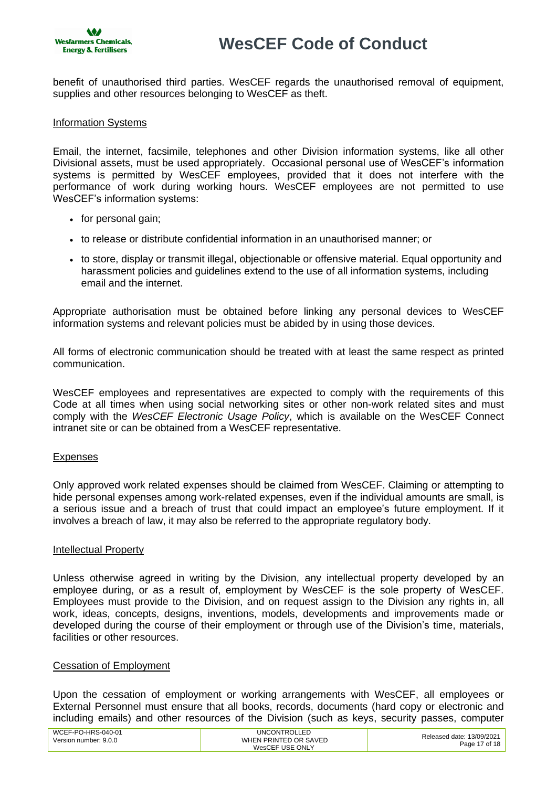

benefit of unauthorised third parties. WesCEF regards the unauthorised removal of equipment, supplies and other resources belonging to WesCEF as theft.

#### Information Systems

Email, the internet, facsimile, telephones and other Division information systems, like all other Divisional assets, must be used appropriately. Occasional personal use of WesCEF's information systems is permitted by WesCEF employees, provided that it does not interfere with the performance of work during working hours. WesCEF employees are not permitted to use WesCEF's information systems:

- for personal gain;
- to release or distribute confidential information in an unauthorised manner; or
- to store, display or transmit illegal, objectionable or offensive material. Equal opportunity and harassment policies and guidelines extend to the use of all information systems, including email and the internet.

Appropriate authorisation must be obtained before linking any personal devices to WesCEF information systems and relevant policies must be abided by in using those devices.

All forms of electronic communication should be treated with at least the same respect as printed communication.

WesCEF employees and representatives are expected to comply with the requirements of this Code at all times when using social networking sites or other non-work related sites and must comply with the *WesCEF Electronic Usage Policy*, which is available on the WesCEF Connect intranet site or can be obtained from a WesCEF representative.

#### Expenses

Only approved work related expenses should be claimed from WesCEF. Claiming or attempting to hide personal expenses among work-related expenses, even if the individual amounts are small, is a serious issue and a breach of trust that could impact an employee's future employment. If it involves a breach of law, it may also be referred to the appropriate regulatory body.

#### Intellectual Property

Unless otherwise agreed in writing by the Division, any intellectual property developed by an employee during, or as a result of, employment by WesCEF is the sole property of WesCEF. Employees must provide to the Division, and on request assign to the Division any rights in, all work, ideas, concepts, designs, inventions, models, developments and improvements made or developed during the course of their employment or through use of the Division's time, materials, facilities or other resources.

#### Cessation of Employment

Upon the cessation of employment or working arrangements with WesCEF, all employees or External Personnel must ensure that all books, records, documents (hard copy or electronic and including emails) and other resources of the Division (such as keys, security passes, computer

| WCEF-PO-HRS-040-01    | <b>UNCONTROLLED</b>   | Released date: 13/09/2021 |
|-----------------------|-----------------------|---------------------------|
| Version number: 9.0.0 | WHEN PRINTED OR SAVED | Page 17 of 18             |
|                       | WesCEF USE ONLY       |                           |